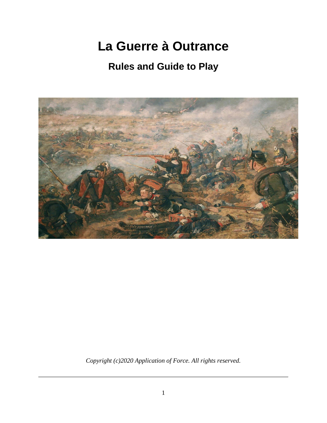# **La Guerre à Outrance**

## **Rules and Guide to Play**

<span id="page-0-0"></span>

*Copyright (c)2020 Application of Force. All rights reserved.*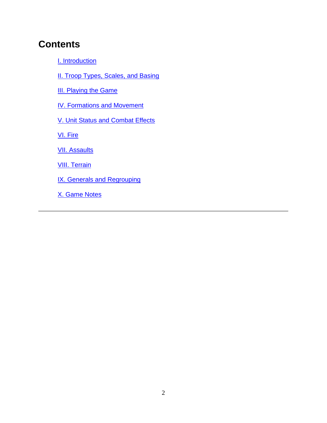#### **Contents**

[I. Introduction](#page-2-0)

[II. Troop Types, Scales, and Basing](#page-3-0)

**[III. Playing the Game](#page-6-0)** 

[IV. Formations and Movement](#page-10-0)

[V. Unit Status and Combat Effects](#page-13-0)

[VI. Fire](#page-15-0)

[VII. Assaults](#page-17-0)

[VIII. Terrain](#page-19-0)

[IX. Generals and Regrouping](#page-22-0)

[X. Game Notes](#page-23-0)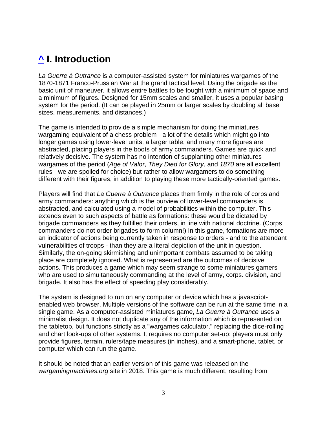#### <span id="page-2-0"></span>**[^](#page-0-0) I. Introduction**

*La Guerre à Outrance* is a computer-assisted system for miniatures wargames of the 1870-1871 Franco-Prussian War at the grand tactical level. Using the brigade as the basic unit of maneuver, it allows entire battles to be fought with a minimum of space and a minimum of figures. Designed for 15mm scales and smaller, it uses a popular basing system for the period. (It can be played in 25mm or larger scales by doubling all base sizes, measurements, and distances.)

The game is intended to provide a simple mechanism for doing the miniatures wargaming equivalent of a chess problem - a lot of the details which might go into longer games using lower-level units, a larger table, and many more figures are abstracted, placing players in the boots of army commanders. Games are quick and relatively decisive. The system has no intention of supplanting other miniatures wargames of the period (*Age of Valor*, *They Died for Glory*, and *1870* are all excellent rules - we are spoiled for choice) but rather to allow wargamers to do something different with their figures, in addition to playing these more tactically-oriented games.

Players will find that *La Guerre à Outrance* places them firmly in the role of corps and army commanders: anything which is the purview of lower-level commanders is abstracted, and calculated using a model of probabilities within the computer. This extends even to such aspects of battle as formations: these would be dictated by brigade commanders as they fulfilled their orders, in line with national doctrine. (Corps commanders do not order brigades to form column!) In this game, formations are more an indicator of actions being currently taken in response to orders - and to the attendant vulnerabilities of troops - than they are a literal depiction of the unit in question. Similarly, the on-going skirmishing and unimportant combats assumed to be taking place are completely ignored. What is represented are the outcomes of decisive actions. This produces a game which may seem strange to some miniatures gamers who are used to simultaneously commanding at the level of army, corps. division, and brigade. It also has the effect of speeding play considerably.

The system is designed to run on any computer or device which has a javascriptenabled web browser. Multiple versions of the software can be run at the same time in a single game. As a computer-assisted miniatures game, *La Guerre à Outrance* uses a minimalist design. It does not duplicate any of the information which is represented on the tabletop, but functions strictly as a "wargames calculator," replacing the dice-rolling and chart look-ups of other systems. It requires no computer set-up: players must only provide figures, terrain, rulers/tape measures (in inches), and a smart-phone, tablet, or computer which can run the game.

It should be noted that an earlier version of this game was released on the *wargamingmachines.org* site in 2018. This game is much different, resulting from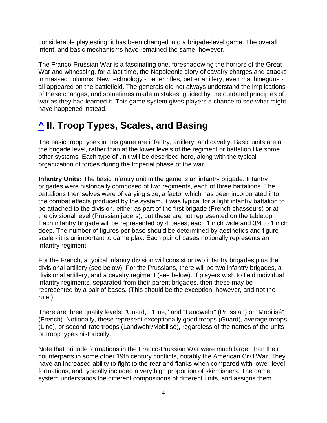considerable playtesting: it has been changed into a brigade-level game. The overall intent, and basic mechanisms have remained the same, however.

The Franco-Prussian War is a fascinating one, foreshadowing the horrors of the Great War and witnessing, for a last time, the Napoleonic glory of cavalry charges and attacks in massed columns. New technology - better rifles, better artillery, even machineguns all appeared on the battlefield. The generals did not always understand the implications of these changes, and sometimes made mistakes, guided by the outdated principles of war as they had learned it. This game system gives players a chance to see what might have happened instead.

#### <span id="page-3-0"></span>**[^](#page-0-0) II. Troop Types, Scales, and Basing**

The basic troop types in this game are infantry, artillery, and cavalry. Basic units are at the brigade level, rather than at the lower levels of the regiment or battalion like some other systems. Each type of unit will be described here, along with the typical organization of forces during the Imperial phase of the war.

**Infantry Units:** The basic infantry unit in the game is an infantry brigade. Infantry brigades were historically composed of two regiments, each of three battalions. The battalions themselves were of varying size, a factor which has been incorporated into the combat effects produced by the system. It was typical for a light infantry battalion to be attached to the division, either as part of the first brigade (French chasseurs) or at the divisional level (Prussian jagers), but these are not represented on the tabletop. Each infantry brigade will be represented by 4 bases, each 1 inch wide and 3/4 to 1 inch deep. The number of figures per base should be determined by aesthetics and figure scale - it is unimportant to game play. Each pair of bases notionally represents an infantry regiment.

For the French, a typical infantry division will consist or two infantry brigades plus the divisional artillery (see below). For the Prussians, there will be two infantry brigades, a divisional artillery, and a cavalry regiment (see below). If players wish to field individual infantry regiments, separated from their parent brigades, then these may be represented by a pair of bases. (This should be the exception, however, and not the rule.)

There are three quality levels: "Guard," "Line," and "Landwehr" (Prussian) or "Mobilisé" (French). Notionally, these represent exceptionally good troops (Guard), average troops (Line), or second-rate troops (Landwehr/Mobilisé), regardless of the names of the units or troop types historically.

Note that brigade formations in the Franco-Prussian War were much larger than their counterparts in some other 19th century conflicts, notably the American Civil War. They have an increased ability to fight to the rear and flanks when compared with lower-level formations, and typically included a very high proportion of skirmishers. The game system understands the different compositions of different units, and assigns them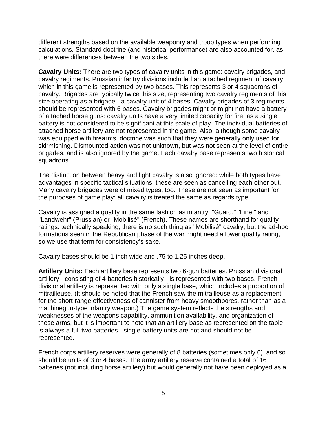different strengths based on the available weaponry and troop types when performing calculations. Standard doctrine (and historical performance) are also accounted for, as there were differences between the two sides.

**Cavalry Units:** There are two types of cavalry units in this game: cavalry brigades, and cavalry regiments. Prussian infantry divisions included an attached regiment of cavalry, which in this game is represented by two bases. This represents 3 or 4 squadrons of cavalry. Brigades are typically twice this size, representing two cavalry regiments of this size operating as a brigade - a cavalry unit of 4 bases. Cavalry brigades of 3 regiments should be represented with 6 bases. Cavalry brigades might or might not have a battery of attached horse guns: cavalry units have a very limited capacity for fire, as a single battery is not considered to be significant at this scale of play. The individual batteries of attached horse artillery are not represented in the game. Also, although some cavalry was equipped with firearms, doctrine was such that they were generally only used for skirmishing. Dismounted action was not unknown, but was not seen at the level of entire brigades, and is also ignored by the game. Each cavalry base represents two historical squadrons.

The distinction between heavy and light cavalry is also ignored: while both types have advantages in specific tactical situations, these are seen as cancelling each other out. Many cavalry brigades were of mixed types, too. These are not seen as important for the purposes of game play: all cavalry is treated the same as regards type.

Cavalry is assigned a quality in the same fashion as infantry: "Guard," "Line," and "Landwehr" (Prussian) or "Mobilisé" (French). These names are shorthand for quality ratings: technically speaking, there is no such thing as "Mobilisé" cavalry, but the ad-hoc formations seen in the Republican phase of the war might need a lower quality rating, so we use that term for consistency's sake.

Cavalry bases should be 1 inch wide and .75 to 1.25 inches deep.

**Artillery Units:** Each artillery base represents two 6-gun batteries. Prussian divisional artillery - consisting of 4 batteries historically - is represented with two bases. French divisional artillery is represented with only a single base, which includes a proportion of mitrailleuse. (It should be noted that the French saw the mitrailleuse as a replacement for the short-range effectiveness of cannister from heavy smoothbores, rather than as a machinegun-type infantry weapon.) The game system reflects the strengths and weaknesses of the weapons capability, ammunition availability, and organization of these arms, but it is important to note that an artillery base as represented on the table is always a full two batteries - single-battery units are not and should not be represented.

French corps artillery reserves were generally of 8 batteries (sometimes only 6), and so should be units of 3 or 4 bases. The army artillery reserve contained a total of 16 batteries (not including horse artillery) but would generally not have been deployed as a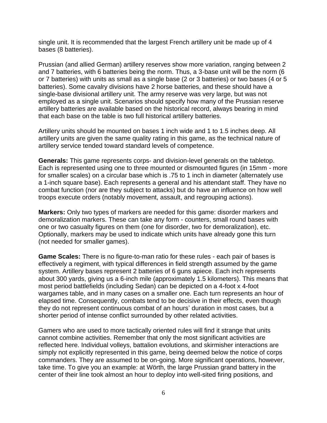single unit. It is recommended that the largest French artillery unit be made up of 4 bases (8 batteries).

Prussian (and allied German) artillery reserves show more variation, ranging between 2 and 7 batteries, with 6 batteries being the norm. Thus, a 3-base unit will be the norm (6 or 7 batteries) with units as small as a single base (2 or 3 batteries) or two bases (4 or 5 batteries). Some cavalry divisions have 2 horse batteries, and these should have a single-base divisional artillery unit. The army reserve was very large, but was not employed as a single unit. Scenarios should specify how many of the Prussian reserve artillery batteries are available based on the historical record, always bearing in mind that each base on the table is two full historical artillery batteries.

Artillery units should be mounted on bases 1 inch wide and 1 to 1.5 inches deep. All artillery units are given the same quality rating in this game, as the technical nature of artillery service tended toward standard levels of competence.

**Generals:** This game represents corps- and division-level generals on the tabletop. Each is represented using one to three mounted or dismounted figures (in 15mm - more for smaller scales) on a circular base which is .75 to 1 inch in diameter (alternately use a 1-inch square base). Each represents a general and his attendant staff. They have no combat function (nor are they subject to attacks) but do have an influence on how well troops execute orders (notably movement, assault, and regrouping actions).

**Markers:** Only two types of markers are needed for this game: disorder markers and demoralization markers. These can take any form - counters, small round bases with one or two casualty figures on them (one for disorder, two for demoralization), etc. Optionally, markers may be used to indicate which units have already gone this turn (not needed for smaller games).

**Game Scales:** There is no figure-to-man ratio for these rules - each pair of bases is effectively a regiment, with typical differences in field strength assumed by the game system. Artillery bases represent 2 batteries of 6 guns apiece. Each inch represents about 300 yards, giving us a 6-inch mile (approximately 1.5 kilometers). This means that most period battlefields (including Sedan) can be depicted on a 4-foot x 4-foot wargames table, and in many cases on a smaller one. Each turn represents an hour of elapsed time. Consequently, combats tend to be decisive in their effects, even though they do not represent continuous combat of an hours' duration in most cases, but a shorter period of intense conflict surrounded by other related activities.

Gamers who are used to more tactically oriented rules will find it strange that units cannot combine activities. Remember that only the most significant activities are reflected here. Individual volleys, battalion evolutions, and skirmisher interactions are simply not explicitly represented in this game, being deemed below the notice of corps commanders. They are assumed to be on-going. More significant operations, however, take time. To give you an example: at Wörth, the large Prussian grand battery in the center of their line took almost an hour to deploy into well-sited firing positions, and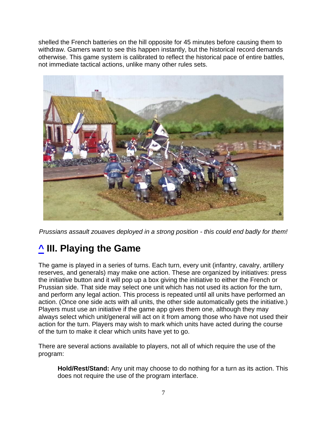shelled the French batteries on the hill opposite for 45 minutes before causing them to withdraw. Gamers want to see this happen instantly, but the historical record demands otherwise. This game system is calibrated to reflect the historical pace of entire battles, not immediate tactical actions, unlike many other rules sets.



*Prussians assault zouaves deployed in a strong position - this could end badly for them!*

#### <span id="page-6-0"></span>**[^](#page-0-0) III. Playing the Game**

The game is played in a series of turns. Each turn, every unit (infantry, cavalry, artillery reserves, and generals) may make one action. These are organized by initiatives: press the initiative button and it will pop up a box giving the initiative to either the French or Prussian side. That side may select one unit which has not used its action for the turn, and perform any legal action. This process is repeated until all units have performed an action. (Once one side acts with all units, the other side automatically gets the initiative.) Players must use an initiative if the game app gives them one, although they may always select which unit/general will act on it from among those who have not used their action for the turn. Players may wish to mark which units have acted during the course of the turn to make it clear which units have yet to go.

There are several actions available to players, not all of which require the use of the program:

**Hold/Rest/Stand:** Any unit may choose to do nothing for a turn as its action. This does not require the use of the program interface.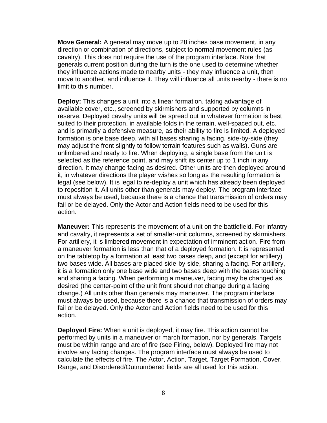**Move General:** A general may move up to 28 inches base movement, in any direction or combination of directions, subject to normal movement rules (as cavalry). This does not require the use of the program interface. Note that generals current position during the turn is the one used to determine whether they influence actions made to nearby units - they may influence a unit, then move to another, and influence it. They will influence all units nearby - there is no limit to this number.

**Deploy:** This changes a unit into a linear formation, taking advantage of available cover, etc., screened by skirmishers and supported by columns in reserve. Deployed cavalry units will be spread out in whatever formation is best suited to their protection, in available folds in the terrain, well-spaced out, etc. and is primarily a defensive measure, as their ability to fire is limited. A deployed formation is one base deep, with all bases sharing a facing, side-by-side (they may adjust the front slightly to follow terrain features such as walls). Guns are unlimbered and ready to fire. When deploying, a single base from the unit is selected as the reference point, and may shift its center up to 1 inch in any direction. It may change facing as desired. Other units are then deployed around it, in whatever directions the player wishes so long as the resulting formation is legal (see below). It is legal to re-deploy a unit which has already been deployed to reposition it. All units other than generals may deploy. The program interface must always be used, because there is a chance that transmission of orders may fail or be delayed. Only the Actor and Action fields need to be used for this action.

**Maneuver:** This represents the movement of a unit on the battlefield. For infantry and cavalry, it represents a set of smaller-unit columns, screened by skirmishers. For artillery, it is limbered movement in expectation of imminent action. Fire from a maneuver formation is less than that of a deployed formation. It is represented on the tabletop by a formation at least two bases deep, and (except for artillery) two bases wide. All bases are placed side-by-side, sharing a facing. For artillery, it is a formation only one base wide and two bases deep with the bases touching and sharing a facing. When performing a maneuver, facing may be changed as desired (the center-point of the unit front should not change during a facing change.) All units other than generals may maneuver. The program interface must always be used, because there is a chance that transmission of orders may fail or be delayed. Only the Actor and Action fields need to be used for this action.

**Deployed Fire:** When a unit is deployed, it may fire. This action cannot be performed by units in a maneuver or march formation, nor by generals. Targets must be within range and arc of fire (see Firing, below). Deployed fire may not involve any facing changes. The program interface must always be used to calculate the effects of fire. The Actor, Action, Target, Target Formation, Cover, Range, and Disordered/Outnumbered fields are all used for this action.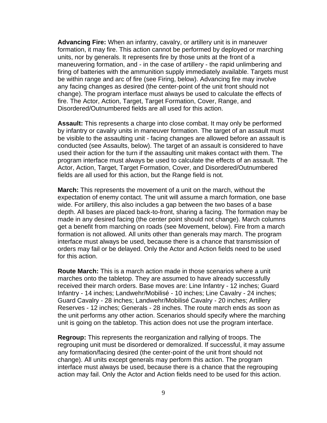**Advancing Fire:** When an infantry, cavalry, or artillery unit is in maneuver formation, it may fire. This action cannot be performed by deployed or marching units, nor by generals. It represents fire by those units at the front of a maneuvering formation, and - in the case of artillery - the rapid unlimbering and firing of batteries with the ammunition supply immediately available. Targets must be within range and arc of fire (see Firing, below). Advancing fire may involve any facing changes as desired (the center-point of the unit front should not change). The program interface must always be used to calculate the effects of fire. The Actor, Action, Target, Target Formation, Cover, Range, and Disordered/Outnumbered fields are all used for this action.

**Assault:** This represents a charge into close combat. It may only be performed by infantry or cavalry units in maneuver formation. The target of an assault must be visible to the assaulting unit - facing changes are allowed before an assault is conducted (see Assaults, below). The target of an assault is considered to have used their action for the turn if the assaulting unit makes contact with them. The program interface must always be used to calculate the effects of an assault. The Actor, Action, Target, Target Formation, Cover, and Disordered/Outnumbered fields are all used for this action, but the Range field is not.

**March:** This represents the movement of a unit on the march, without the expectation of enemy contact. The unit will assume a march formation, one base wide. For artillery, this also includes a gap between the two bases of a base depth. All bases are placed back-to-front, sharing a facing. The formation may be made in any desired facing (the center point should not change). March columns get a benefit from marching on roads (see Movement, below). Fire from a march formation is not allowed. All units other than generals may march. The program interface must always be used, because there is a chance that transmission of orders may fail or be delayed. Only the Actor and Action fields need to be used for this action.

**Route March:** This is a march action made in those scenarios where a unit marches onto the tabletop. They are assumed to have already successfully received their march orders. Base moves are: Line Infantry - 12 inches; Guard Infantry - 14 inches; Landwehr/Mobilisé - 10 inches; Line Cavalry - 24 inches; Guard Cavalry - 28 inches; Landwehr/Mobilisé Cavalry - 20 inches; Artillery Reserves - 12 inches; Generals - 28 inches. The route march ends as soon as the unit performs any other action. Scenarios should specify where the marching unit is going on the tabletop. This action does not use the program interface.

**Regroup:** This represents the reorganization and rallying of troops. The regrouping unit must be disordered or demoralized. If successful, it may assume any formation/facing desired (the center-point of the unit front should not change). All units except generals may perform this action. The program interface must always be used, because there is a chance that the regrouping action may fail. Only the Actor and Action fields need to be used for this action.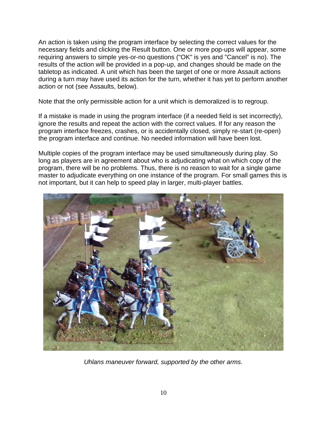An action is taken using the program interface by selecting the correct values for the necessary fields and clicking the Result button. One or more pop-ups will appear, some requiring answers to simple yes-or-no questions ("OK" is yes and "Cancel" is no). The results of the action will be provided in a pop-up, and changes should be made on the tabletop as indicated. A unit which has been the target of one or more Assault actions during a turn may have used its action for the turn, whether it has yet to perform another action or not (see Assaults, below).

Note that the only permissible action for a unit which is demoralized is to regroup.

If a mistake is made in using the program interface (if a needed field is set incorrectly), ignore the results and repeat the action with the correct values. If for any reason the program interface freezes, crashes, or is accidentally closed, simply re-start (re-open) the program interface and continue. No needed information will have been lost.

Multiple copies of the program interface may be used simultaneously during play. So long as players are in agreement about who is adjudicating what on which copy of the program, there will be no problems. Thus, there is no reason to wait for a single game master to adjudicate everything on one instance of the program. For small games this is not important, but it can help to speed play in larger, multi-player battles.



*Uhlans maneuver forward, supported by the other arms.*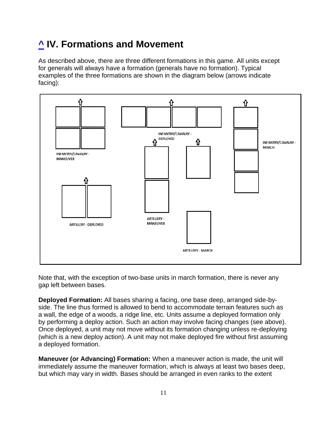### <span id="page-10-0"></span>**[^](#page-0-0) IV. Formations and Movement**

As described above, there are three different formations in this game. All units except for generals will always have a formation (generals have no formation). Typical examples of the three formations are shown in the diagram below (arrows indicate facing):



Note that, with the exception of two-base units in march formation, there is never any gap left between bases.

**Deployed Formation:** All bases sharing a facing, one base deep, arranged side-byside. The line thus formed is allowed to bend to accommodate terrain features such as a wall, the edge of a woods, a ridge line, etc. Units assume a deployed formation only by performing a deploy action. Such an action may involve facing changes (see above). Once deployed, a unit may not move without its formation changing unless re-deploying (which is a new deploy action). A unit may not make deployed fire without first assuming a deployed formation.

**Maneuver (or Advancing) Formation:** When a maneuver action is made, the unit will immediately assume the maneuver formation, which is always at least two bases deep, but which may vary in width. Bases should be arranged in even ranks to the extent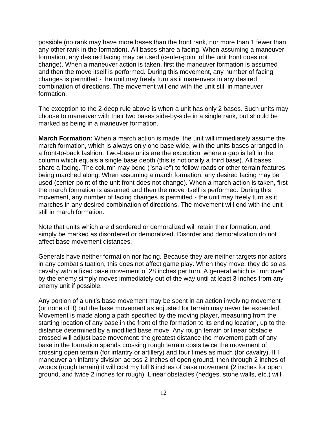possible (no rank may have more bases than the front rank, nor more than 1 fewer than any other rank in the formation). All bases share a facing. When assuming a maneuver formation, any desired facing may be used (center-point of the unit front does not change). When a maneuver action is taken, first the maneuver formation is assumed and then the move itself is performed. During this movement, any number of facing changes is permitted - the unit may freely turn as it maneuvers in any desired combination of directions. The movement will end with the unit still in maneuver formation.

The exception to the 2-deep rule above is when a unit has only 2 bases. Such units may choose to maneuver with their two bases side-by-side in a single rank, but should be marked as being in a maneuver formation.

**March Formation:** When a march action is made, the unit will immediately assume the march formation, which is always only one base wide, with the units bases arranged in a front-to-back fashion. Two-base units are the exception, where a gap is left in the column which equals a single base depth (this is notionally a third base). All bases share a facing. The column may bend ("snake") to follow roads or other terrain features being marched along. When assuming a march formation, any desired facing may be used (center-point of the unit front does not change). When a march action is taken, first the march formation is assumed and then the move itself is performed. During this movement, any number of facing changes is permitted - the unit may freely turn as it marches in any desired combination of directions. The movement will end with the unit still in march formation.

Note that units which are disordered or demoralized will retain their formation, and simply be marked as disordered or demoralized. Disorder and demoralization do not affect base movement distances.

Generals have neither formation nor facing. Because they are neither targets nor actors in any combat situation, this does not affect game play. When they move, they do so as cavalry with a fixed base movement of 28 inches per turn. A general which is "run over" by the enemy simply moves immediately out of the way until at least 3 inches from any enemy unit if possible.

Any portion of a unit's base movement may be spent in an action involving movement (or none of it) but the base movement as adjusted for terrain may never be exceeded. Movement is made along a path specified by the moving player, measuring from the starting location of any base in the front of the formation to its ending location, up to the distance determined by a modified base move. Any rough terrain or linear obstacle crossed will adjust base movement: the greatest distance the movement path of any base in the formation spends crossing rough terrain costs twice the movement of crossing open terrain (for infantry or artillery) and four times as much (for cavalry). If I maneuver an infantry division across 2 inches of open ground, then through 2 inches of woods (rough terrain) it will cost my full 6 inches of base movement (2 inches for open ground, and twice 2 inches for rough). Linear obstacles (hedges, stone walls, etc.) will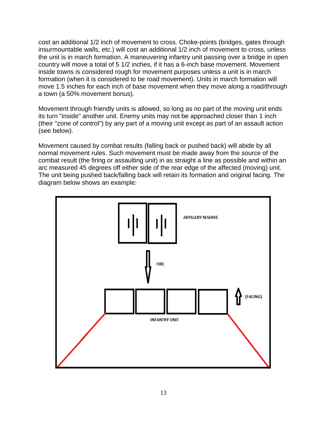cost an additional 1/2 inch of movement to cross. Choke-points (bridges, gates through insurmountable walls, etc.) will cost an additional 1/2 inch of movement to cross, unless the unit is in march formation. A maneuvering infantry unit passing over a bridge in open country will move a total of 5 1/2 inches, if it has a 6-inch base movement. Movement inside towns is considered rough for movement purposes unless a unit is in march formation (when it is considered to be road movement). Units in march formation will move 1.5 inches for each inch of base movement when they move along a road/through a town (a 50% movement bonus).

Movement through friendly units is allowed, so long as no part of the moving unit ends its turn "inside" another unit. Enemy units may not be approached closer than 1 inch (their "zone of control") by any part of a moving unit except as part of an assault action (see below).

Movement caused by combat results (falling back or pushed back) will abide by all normal movement rules. Such movement must be made away from the source of the combat result (the firing or assaulting unit) in as straight a line as possible and within an arc measured 45 degrees off either side of the rear edge of the affected (moving) unit. The unit being pushed back/falling back will retain its formation and original facing. The diagram below shows an example:

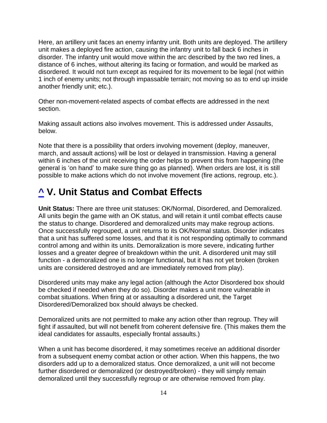Here, an artillery unit faces an enemy infantry unit. Both units are deployed. The artillery unit makes a deployed fire action, causing the infantry unit to fall back 6 inches in disorder. The infantry unit would move within the arc described by the two red lines, a distance of 6 inches, without altering its facing or formation, and would be marked as disordered. It would not turn except as required for its movement to be legal (not within 1 inch of enemy units; not through impassable terrain; not moving so as to end up inside another friendly unit; etc.).

Other non-movement-related aspects of combat effects are addressed in the next section.

Making assault actions also involves movement. This is addressed under Assaults, below.

Note that there is a possibility that orders involving movement (deploy, maneuver, march, and assault actions) will be lost or delayed in transmission. Having a general within 6 inches of the unit receiving the order helps to prevent this from happening (the general is 'on hand' to make sure thing go as planned). When orders are lost, it is still possible to make actions which do not involve movement (fire actions, regroup, etc.).

### <span id="page-13-0"></span>**[^](#page-0-0) V. Unit Status and Combat Effects**

**Unit Status:** There are three unit statuses: OK/Normal, Disordered, and Demoralized. All units begin the game with an OK status, and will retain it until combat effects cause the status to change. Disordered and demoralized units may make regroup actions. Once successfully regrouped, a unit returns to its OK/Normal status. Disorder indicates that a unit has suffered some losses, and that it is not responding optimally to command control among and within its units. Demoralization is more severe, indicating further losses and a greater degree of breakdown within the unit. A disordered unit may still function - a demoralized one is no longer functional, but it has not yet broken (broken units are considered destroyed and are immediately removed from play).

Disordered units may make any legal action (although the Actor Disordered box should be checked if needed when they do so). Disorder makes a unit more vulnerable in combat situations. When firing at or assaulting a disordered unit, the Target Disordered/Demoralized box should always be checked.

Demoralized units are not permitted to make any action other than regroup. They will fight if assaulted, but will not benefit from coherent defensive fire. (This makes them the ideal candidates for assaults, especially frontal assaults.)

When a unit has become disordered, it may sometimes receive an additional disorder from a subsequent enemy combat action or other action. When this happens, the two disorders add up to a demoralized status. Once demoralized, a unit will not become further disordered or demoralized (or destroyed/broken) - they will simply remain demoralized until they successfully regroup or are otherwise removed from play.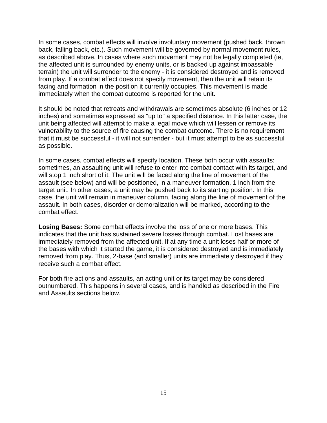In some cases, combat effects will involve involuntary movement (pushed back, thrown back, falling back, etc.). Such movement will be governed by normal movement rules, as described above. In cases where such movement may not be legally completed (ie, the affected unit is surrounded by enemy units, or is backed up against impassable terrain) the unit will surrender to the enemy - it is considered destroyed and is removed from play. If a combat effect does not specify movement, then the unit will retain its facing and formation in the position it currently occupies. This movement is made immediately when the combat outcome is reported for the unit.

It should be noted that retreats and withdrawals are sometimes absolute (6 inches or 12 inches) and sometimes expressed as "up to" a specified distance. In this latter case, the unit being affected will attempt to make a legal move which will lessen or remove its vulnerability to the source of fire causing the combat outcome. There is no requirement that it must be successful - it will not surrender - but it must attempt to be as successful as possible.

In some cases, combat effects will specify location. These both occur with assaults: sometimes, an assaulting unit will refuse to enter into combat contact with its target, and will stop 1 inch short of it. The unit will be faced along the line of movement of the assault (see below) and will be positioned, in a maneuver formation, 1 inch from the target unit. In other cases, a unit may be pushed back to its starting position. In this case, the unit will remain in maneuver column, facing along the line of movement of the assault. In both cases, disorder or demoralization will be marked, according to the combat effect.

**Losing Bases:** Some combat effects involve the loss of one or more bases. This indicates that the unit has sustained severe losses through combat. Lost bases are immediately removed from the affected unit. If at any time a unit loses half or more of the bases with which it started the game, it is considered destroyed and is immediately removed from play. Thus, 2-base (and smaller) units are immediately destroyed if they receive such a combat effect.

For both fire actions and assaults, an acting unit or its target may be considered outnumbered. This happens in several cases, and is handled as described in the Fire and Assaults sections below.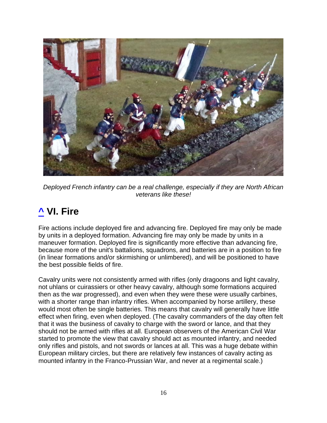

*Deployed French infantry can be a real challenge, especially if they are North African veterans like these!*

## <span id="page-15-0"></span>**[^](#page-0-0) VI. Fire**

Fire actions include deployed fire and advancing fire. Deployed fire may only be made by units in a deployed formation. Advancing fire may only be made by units in a maneuver formation. Deployed fire is significantly more effective than advancing fire, because more of the unit's battalions, squadrons, and batteries are in a position to fire (in linear formations and/or skirmishing or unlimbered), and will be positioned to have the best possible fields of fire.

Cavalry units were not consistently armed with rifles (only dragoons and light cavalry, not uhlans or cuirassiers or other heavy cavalry, although some formations acquired then as the war progressed), and even when they were these were usually carbines, with a shorter range than infantry rifles. When accompanied by horse artillery, these would most often be single batteries. This means that cavalry will generally have little effect when firing, even when deployed. (The cavalry commanders of the day often felt that it was the business of cavalry to charge with the sword or lance, and that they should not be armed with rifles at all. European observers of the American Civil War started to promote the view that cavalry should act as mounted infantry, and needed only rifles and pistols, and not swords or lances at all. This was a huge debate within European military circles, but there are relatively few instances of cavalry acting as mounted infantry in the Franco-Prussian War, and never at a regimental scale.)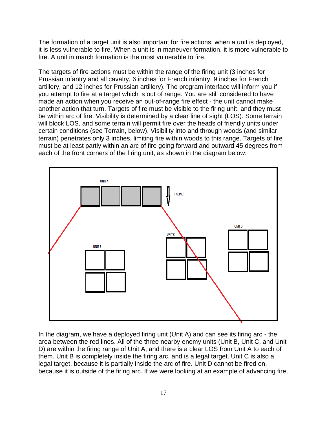The formation of a target unit is also important for fire actions: when a unit is deployed, it is less vulnerable to fire. When a unit is in maneuver formation, it is more vulnerable to fire. A unit in march formation is the most vulnerable to fire.

The targets of fire actions must be within the range of the firing unit (3 inches for Prussian infantry and all cavalry, 6 inches for French infantry. 9 inches for French artillery, and 12 inches for Prussian artillery). The program interface will inform you if you attempt to fire at a target which is out of range. You are still considered to have made an action when you receive an out-of-range fire effect - the unit cannot make another action that turn. Targets of fire must be visible to the firing unit, and they must be within arc of fire. Visibility is determined by a clear line of sight (LOS). Some terrain will block LOS, and some terrain will permit fire over the heads of friendly units under certain conditions (see Terrain, below). Visibility into and through woods (and similar terrain) penetrates only 3 inches, limiting fire within woods to this range. Targets of fire must be at least partly within an arc of fire going forward and outward 45 degrees from each of the front corners of the firing unit, as shown in the diagram below:



In the diagram, we have a deployed firing unit (Unit A) and can see its firing arc - the area between the red lines. All of the three nearby enemy units (Unit B, Unit C, and Unit D) are within the firing range of Unit A, and there is a clear LOS from Unit A to each of them. Unit B is completely inside the firing arc, and is a legal target. Unit C is also a legal target, because it is partially inside the arc of fire. Unit D cannot be fired on, because it is outside of the firing arc. If we were looking at an example of advancing fire,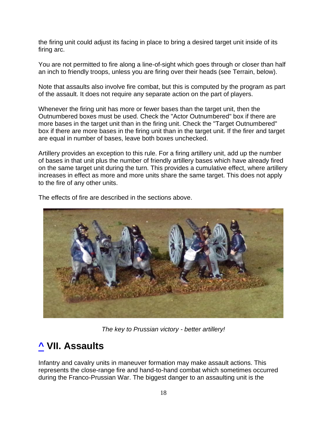the firing unit could adjust its facing in place to bring a desired target unit inside of its firing arc.

You are not permitted to fire along a line-of-sight which goes through or closer than half an inch to friendly troops, unless you are firing over their heads (see Terrain, below).

Note that assaults also involve fire combat, but this is computed by the program as part of the assault. It does not require any separate action on the part of players.

Whenever the firing unit has more or fewer bases than the target unit, then the Outnumbered boxes must be used. Check the "Actor Outnumbered" box if there are more bases in the target unit than in the firing unit. Check the "Target Outnumbered" box if there are more bases in the firing unit than in the target unit. If the firer and target are equal in number of bases, leave both boxes unchecked.

Artillery provides an exception to this rule. For a firing artillery unit, add up the number of bases in that unit plus the number of friendly artillery bases which have already fired on the same target unit during the turn. This provides a cumulative effect, where artillery increases in effect as more and more units share the same target. This does not apply to the fire of any other units.

The effects of fire are described in the sections above.



*The key to Prussian victory - better artillery!*

#### <span id="page-17-0"></span>**[^](#page-0-0) VII. Assaults**

Infantry and cavalry units in maneuver formation may make assault actions. This represents the close-range fire and hand-to-hand combat which sometimes occurred during the Franco-Prussian War. The biggest danger to an assaulting unit is the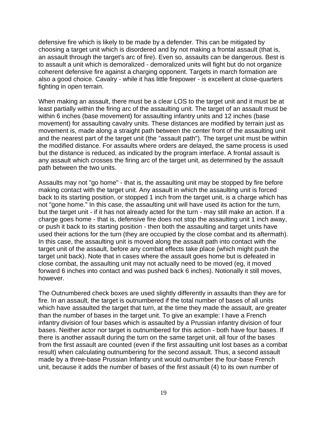defensive fire which is likely to be made by a defender. This can be mitigated by choosing a target unit which is disordered and by not making a frontal assault (that is, an assault through the target's arc of fire). Even so, assaults can be dangerous. Best is to assault a unit which is demoralized - demoralized units will fight but do not organize coherent defensive fire against a charging opponent. Targets in march formation are also a good choice. Cavalry - while it has little firepower - is excellent at close-quarters fighting in open terrain.

When making an assault, there must be a clear LOS to the target unit and it must be at least partially within the firing arc of the assaulting unit. The target of an assault must be within 6 inches (base movement) for assaulting infantry units and 12 inches (base movement) for assaulting cavalry units. These distances are modified by terrain just as movement is, made along a straight path between the center front of the assaulting unit and the nearest part of the target unit (the "assault path"). The target unit must be within the modified distance. For assaults where orders are delayed, the same process is used but the distance is reduced, as indicated by the program interface. A frontal assault is any assault which crosses the firing arc of the target unit, as determined by the assault path between the two units.

Assaults may not "go home" - that is, the assaulting unit may be stopped by fire before making contact with the target unit. Any assault in which the assaulting unit is forced back to its starting position, or stopped 1 inch from the target unit, is a charge which has not "gone home." In this case, the assaulting unit will have used its action for the turn, but the target unit - if it has not already acted for the turn - may still make an action. If a charge goes home - that is, defensive fire does not stop the assaulting unit 1 inch away, or push it back to its starting position - then both the assaulting and target units have used their actions for the turn (they are occupied by the close combat and its aftermath). In this case, the assaulting unit is moved along the assault path into contact with the target unit of the assault, before any combat effects take place (which might push the target unit back). Note that in cases where the assault goes home but is defeated in close combat, the assaulting unit may not actually need to be moved (eg, it moved forward 6 inches into contact and was pushed back 6 inches). Notionally it still moves, however.

The Outnumbered check boxes are used slightly differently in assaults than they are for fire. In an assault, the target is outnumbered if the total number of bases of all units which have assaulted the target that turn, at the time they made the assault, are greater than the number of bases in the target unit. To give an example: I have a French infantry division of four bases which is assaulted by a Prussian infantry division of four bases. Neither actor nor target is outnumbered for this action - both have four bases. If there is another assault during the turn on the same target unit, all four of the bases from the first assault are counted (even if the first assaulting unit lost bases as a combat result) when calculating outnumbering for the second assault. Thus, a second assault made by a three-base Prussian Infantry unit would outnumber the four-base French unit, because it adds the number of bases of the first assault (4) to its own number of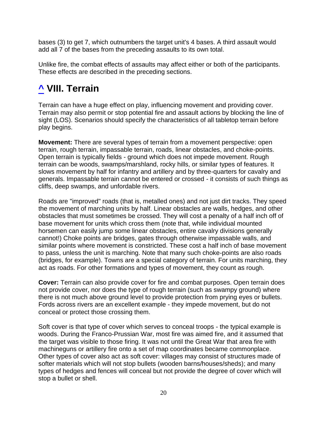bases (3) to get 7, which outnumbers the target unit's 4 bases. A third assault would add all 7 of the bases from the preceding assaults to its own total.

Unlike fire, the combat effects of assaults may affect either or both of the participants. These effects are described in the preceding sections.

## <span id="page-19-0"></span>**[^](#page-0-0) VIII. Terrain**

Terrain can have a huge effect on play, influencing movement and providing cover. Terrain may also permit or stop potential fire and assault actions by blocking the line of sight (LOS). Scenarios should specify the characteristics of all tabletop terrain before play begins.

**Movement:** There are several types of terrain from a movement perspective: open terrain, rough terrain, impassable terrain, roads, linear obstacles, and choke-points. Open terrain is typically fields - ground which does not impede movement. Rough terrain can be woods, swamps/marshland, rocky hills, or similar types of features. It slows movement by half for infantry and artillery and by three-quarters for cavalry and generals. Impassable terrain cannot be entered or crossed - it consists of such things as cliffs, deep swamps, and unfordable rivers.

Roads are "improved" roads (that is, metalled ones) and not just dirt tracks. They speed the movement of marching units by half. Linear obstacles are walls, hedges, and other obstacles that must sometimes be crossed. They will cost a penalty of a half inch off of base movement for units which cross them (note that, while individual mounted horsemen can easily jump some linear obstacles, entire cavalry divisions generally cannot!) Choke points are bridges, gates through otherwise impassable walls, and similar points where movement is constricted. These cost a half inch of base movement to pass, unless the unit is marching. Note that many such choke-points are also roads (bridges, for example). Towns are a special category of terrain. For units marching, they act as roads. For other formations and types of movement, they count as rough.

**Cover:** Terrain can also provide cover for fire and combat purposes. Open terrain does not provide cover, nor does the type of rough terrain (such as swampy ground) where there is not much above ground level to provide protection from prying eyes or bullets. Fords across rivers are an excellent example - they impede movement, but do not conceal or protect those crossing them.

Soft cover is that type of cover which serves to conceal troops - the typical example is woods. During the Franco-Prussian War, most fire was aimed fire, and it assumed that the target was visible to those firing. It was not until the Great War that area fire with machineguns or artillery fire onto a set of map coordinates became commonplace. Other types of cover also act as soft cover: villages may consist of structures made of softer materials which will not stop bullets (wooden barns/houses/sheds); and many types of hedges and fences will conceal but not provide the degree of cover which will stop a bullet or shell.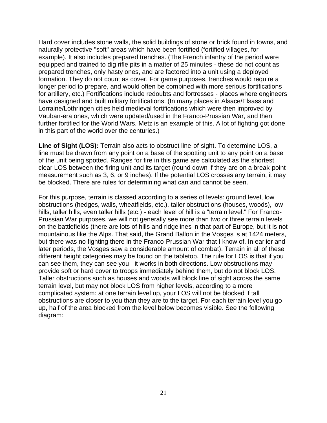Hard cover includes stone walls, the solid buildings of stone or brick found in towns, and naturally protective "soft" areas which have been fortified (fortified villages, for example). It also includes prepared trenches. (The French infantry of the period were equipped and trained to dig rifle pits in a matter of 25 minutes - these do not count as prepared trenches, only hasty ones, and are factored into a unit using a deployed formation. They do not count as cover. For game purposes, trenches would require a longer period to prepare, and would often be combined with more serious fortifications for artillery, etc.) Fortifications include redoubts and fortresses - places where engineers have designed and built military fortifications. (In many places in Alsace/Elsass and Lorraine/Lothringen cities held medieval fortifications which were then improved by Vauban-era ones, which were updated/used in the Franco-Prussian War, and then further fortified for the World Wars. Metz is an example of this. A lot of fighting got done in this part of the world over the centuries.)

**Line of Sight (LOS):** Terrain also acts to obstruct line-of-sight. To determine LOS, a line must be drawn from any point on a base of the spotting unit to any point on a base of the unit being spotted. Ranges for fire in this game are calculated as the shortest clear LOS between the firing unit and its target (round down if they are on a break-point measurement such as 3, 6, or 9 inches). If the potential LOS crosses any terrain, it may be blocked. There are rules for determining what can and cannot be seen.

For this purpose, terrain is classed according to a series of levels: ground level, low obstructions (hedges, walls, wheatfields, etc.), taller obstructions (houses, woods), low hills, taller hills, even taller hills (etc.) - each level of hill is a "terrain level." For Franco-Prussian War purposes, we will not generally see more than two or three terrain levels on the battlefields (there are lots of hills and ridgelines in that part of Europe, but it is not mountainous like the Alps. That said, the Grand Ballon in the Vosges is at 1424 meters, but there was no fighting there in the Franco-Prussian War that I know of. In earlier and later periods, the Vosges saw a considerable amount of combat). Terrain in all of these different height categories may be found on the tabletop. The rule for LOS is that if you can see them, they can see you - it works in both directions. Low obstructions may provide soft or hard cover to troops immediately behind them, but do not block LOS. Taller obstructions such as houses and woods will block line of sight across the same terrain level, but may not block LOS from higher levels, according to a more complicated system: at one terrain level up, your LOS will not be blocked if tall obstructions are closer to you than they are to the target. For each terrain level you go up, half of the area blocked from the level below becomes visible. See the following diagram: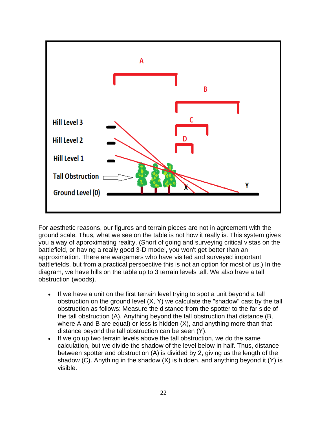

For aesthetic reasons, our figures and terrain pieces are not in agreement with the ground scale. Thus, what we see on the table is not how it really is. This system gives you a way of approximating reality. (Short of going and surveying critical vistas on the battlefield, or having a really good 3-D model, you won't get better than an approximation. There are wargamers who have visited and surveyed important battlefields, but from a practical perspective this is not an option for most of us.) In the diagram, we have hills on the table up to 3 terrain levels tall. We also have a tall obstruction (woods).

- If we have a unit on the first terrain level trying to spot a unit beyond a tall obstruction on the ground level (X, Y) we calculate the "shadow" cast by the tall obstruction as follows: Measure the distance from the spotter to the far side of the tall obstruction (A). Anything beyond the tall obstruction that distance (B, where A and B are equal) or less is hidden (X), and anything more than that distance beyond the tall obstruction can be seen (Y).
- If we go up two terrain levels above the tall obstruction, we do the same calculation, but we divide the shadow of the level below in half. Thus, distance between spotter and obstruction (A) is divided by 2, giving us the length of the shadow (C). Anything in the shadow (X) is hidden, and anything beyond it (Y) is visible.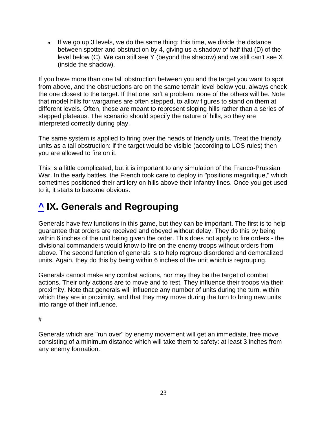• If we go up 3 levels, we do the same thing: this time, we divide the distance between spotter and obstruction by 4, giving us a shadow of half that (D) of the level below (C). We can still see Y (beyond the shadow) and we still can't see X (inside the shadow).

If you have more than one tall obstruction between you and the target you want to spot from above, and the obstructions are on the same terrain level below you, always check the one closest to the target. If that one isn't a problem, none of the others will be. Note that model hills for wargames are often stepped, to allow figures to stand on them at different levels. Often, these are meant to represent sloping hills rather than a series of stepped plateaus. The scenario should specify the nature of hills, so they are interpreted correctly during play.

The same system is applied to firing over the heads of friendly units. Treat the friendly units as a tall obstruction: if the target would be visible (according to LOS rules) then you are allowed to fire on it.

This is a little complicated, but it is important to any simulation of the Franco-Prussian War. In the early battles, the French took care to deploy in "positions magnifique," which sometimes positioned their artillery on hills above their infantry lines. Once you get used to it, it starts to become obvious.

#### <span id="page-22-0"></span>**[^](#page-0-0) IX. Generals and Regrouping**

Generals have few functions in this game, but they can be important. The first is to help guarantee that orders are received and obeyed without delay. They do this by being within 6 inches of the unit being given the order. This does not apply to fire orders - the divisional commanders would know to fire on the enemy troops without orders from above. The second function of generals is to help regroup disordered and demoralized units. Again, they do this by being within 6 inches of the unit which is regrouping.

Generals cannot make any combat actions, nor may they be the target of combat actions. Their only actions are to move and to rest. They influence their troops via their proximity. Note that generals will influence any number of units during the turn, within which they are in proximity, and that they may move during the turn to bring new units into range of their influence.

#

Generals which are "run over" by enemy movement will get an immediate, free move consisting of a minimum distance which will take them to safety: at least 3 inches from any enemy formation.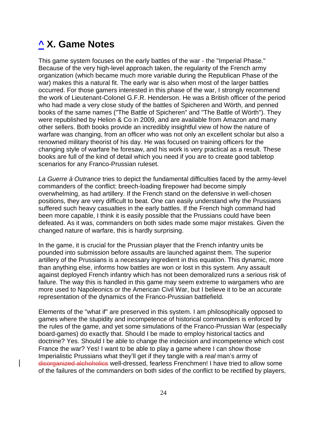## <span id="page-23-0"></span>**[^](#page-0-0) X. Game Notes**

This game system focuses on the early battles of the war - the "Imperial Phase." Because of the very high-level approach taken, the regularity of the French army organization (which became much more variable during the Republican Phase of the war) makes this a natural fit. The early war is also when most of the larger battles occurred. For those gamers interested in this phase of the war, I strongly recommend the work of Lieutenant-Colonel G.F.R. Henderson. He was a British officer of the period who had made a very close study of the battles of Spicheren and Wörth, and penned books of the same names ("The Battle of Spicheren" and "The Battle of Wörth"). They were republished by Helion & Co in 2009, and are available from Amazon and many other sellers. Both books provide an incredibly insightful view of how the nature of warfare was changing, from an officer who was not only an excellent scholar but also a renowned military theorist of his day. He was focused on training officers for the changing style of warfare he foresaw, and his work is very practical as a result. These books are full of the kind of detail which you need if you are to create good tabletop scenarios for any Franco-Prussian ruleset.

*La Guerre à Outrance* tries to depict the fundamental difficulties faced by the army-level commanders of the conflict: breech-loading firepower had become simply overwhelming, as had artillery. If the French stand on the defensive in well-chosen positions, they are very difficult to beat. One can easily understand why the Prussians suffered such heavy casualties in the early battles. If the French high command had been more capable, I think it is easily possible that the Prussians could have been defeated. As it was, commanders on both sides made some major mistakes. Given the changed nature of warfare, this is hardly surprising.

In the game, it is crucial for the Prussian player that the French infantry units be pounded into submission before assaults are launched against them. The superior artillery of the Prussians is a necessary ingredient in this equation. This dynamic, more than anything else, informs how battles are won or lost in this system. Any assault against deployed French infantry which has not been demoralized runs a serious risk of failure. The way this is handled in this game may seem extreme to wargamers who are more used to Napoleonics or the American Civil War, but I believe it to be an accurate representation of the dynamics of the Franco-Prussian battlefield.

Elements of the "what if" are preserved in this system. I am philosophically opposed to games where the stupidity and incompetence of historical commanders is enforced by the rules of the game, and yet some simulations of the Franco-Prussian War (especially board-games) do exactly that. Should I be made to employ historical tactics and doctrine? Yes. Should I be able to change the indecision and incompetence which cost France the war? Yes! I want to be able to play a game where I can show those Imperialistic Prussians what they'll get if they tangle with a *real* man's army of disorganized alchoholics well-dressed, fearless Frenchmen! I have tried to allow some of the failures of the commanders on both sides of the conflict to be rectified by players,